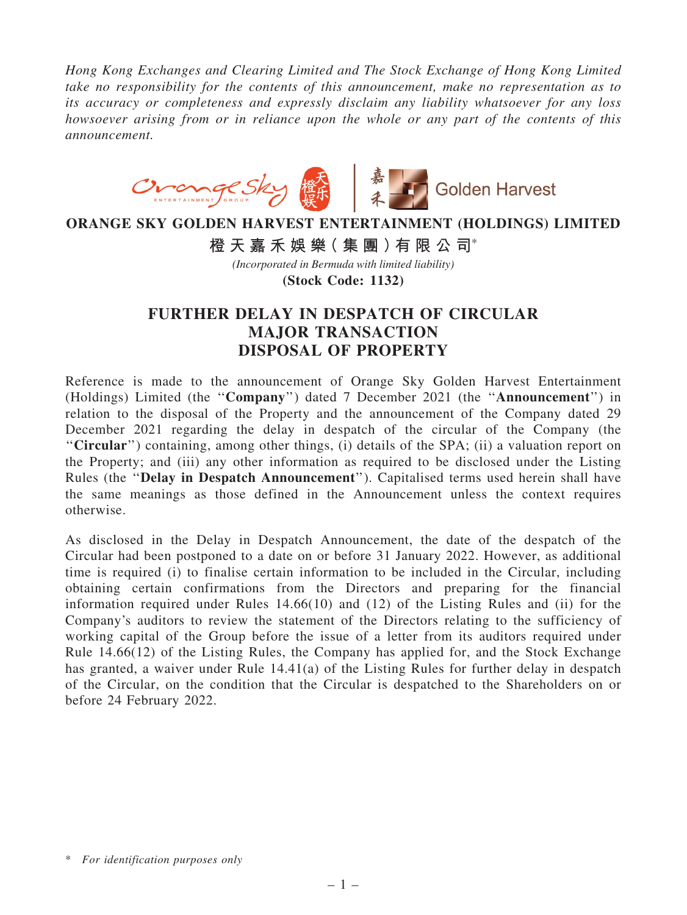*Hong Kong Exchanges and Clearing Limited and The Stock Exchange of Hong Kong Limited take no responsibility for the contents of this announcement, make no representation as to its accuracy or completeness and expressly disclaim any liability whatsoever for any loss howsoever arising from or in reliance upon the whole or any part of the contents of this announcement.*



## **ORANGE SKY GOLDEN HARVEST ENTERTAINMENT (HOLDINGS) LIMITED**

**橙 天 嘉 禾 娛 樂( 集 團 )有 限 公 司**\*

*(Incorporated in Bermuda with limited liability)*

**(Stock Code: 1132)**

## FURTHER DELAY IN DESPATCH OF CIRCULAR MAJOR TRANSACTION DISPOSAL OF PROPERTY

Reference is made to the announcement of Orange Sky Golden Harvest Entertainment (Holdings) Limited (the ''Company'') dated 7 December 2021 (the ''Announcement'') in relation to the disposal of the Property and the announcement of the Company dated 29 December 2021 regarding the delay in despatch of the circular of the Company (the ''Circular'') containing, among other things, (i) details of the SPA; (ii) a valuation report on the Property; and (iii) any other information as required to be disclosed under the Listing Rules (the ''Delay in Despatch Announcement''). Capitalised terms used herein shall have the same meanings as those defined in the Announcement unless the context requires otherwise.

As disclosed in the Delay in Despatch Announcement, the date of the despatch of the Circular had been postponed to a date on or before 31 January 2022. However, as additional time is required (i) to finalise certain information to be included in the Circular, including obtaining certain confirmations from the Directors and preparing for the financial information required under Rules 14.66(10) and (12) of the Listing Rules and (ii) for the Company's auditors to review the statement of the Directors relating to the sufficiency of working capital of the Group before the issue of a letter from its auditors required under Rule 14.66(12) of the Listing Rules, the Company has applied for, and the Stock Exchange has granted, a waiver under Rule 14.41(a) of the Listing Rules for further delay in despatch of the Circular, on the condition that the Circular is despatched to the Shareholders on or before 24 February 2022.

<sup>\*</sup> *For identification purposes only*